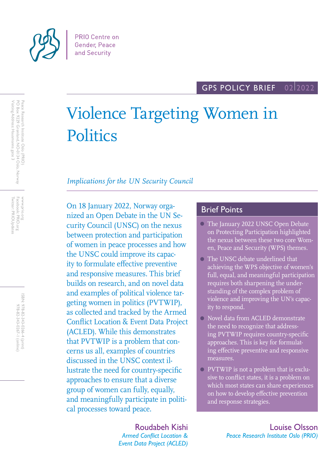

# Violence Targeting Women in **Politics**

## *Implications for the UN Security Council*

On 18 January 2022, Norway organized an Open Debate in the UN Security Council (UNSC) on the nexus between protection and participation of women in peace processes and how the UNSC could improve its capacity to formulate effective preventive and responsive measures. This brief builds on research, and on novel data and examples of political violence targeting women in politics (PVTWIP), as collected and tracked by the Armed Conflict Location & Event Data Project (ACLED). While this demonstrates that PVTWIP is a problem that concerns us all, examples of countries discussed in the UNSC context illustrate the need for country-specific approaches to ensure that a diverse group of women can fully, equally, and meaningfully participate in political processes toward peace.

# **Brief Points**

- The January 2022 UNSC Open Debate on Protecting Participation highlighted the nexus between these two core Women, Peace and Security (WPS) themes.
- The UNSC debate underlined that achieving the WPS objective of women's full, equal, and meaningful participation requires both sharpening the understanding of the complex problem of violence and improving the UN's capacity to respond.
- Novel data from ACLED demonstrate the need to recognize that addressing PVTWIP requires country-specific approaches. This is key for formulating effective preventive and responsive measures.
- PVTWIP is not a problem that is exclusive to conflict states, it is a problem on which most states can share experiences on how to develop effective prevention and response strategies.

Roudabeh Kishi *Armed Conflict Location & Event Data Project (ACLED)*

Louise Olsson *Peace Research Institute Oslo (PRIO)*

Peace Research Institute Oslo (PRIO)<br>PO Box 9229 Grønland, NO-0134 Oslo, Norway<br>Visiting Address: Hausmanns gate 3 Visiting Address: Hausmanns gate 3 PO Box 9229 Grønland, NO-0134 Oslo, Norway Peace Research Institute Oslo (PRIO)

Facebook: PRIO.org<br>Twitter: PRIOUpdates Twitter: PRIOUpdates Facebook: PRIO.org www.prio.org www.prio.org

> ISBN: 978-82-343-0266-4 (print) 978-82-343-0267-1 (online) 978-82-343-0267-1 (online) 978-82-343-0266-4 (print)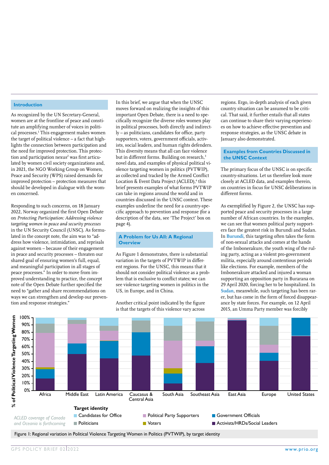#### **Introduction**

As recognized by the UN Secretary-General, women are at the frontline of peace and constitute an amplifying number of voices in political processes.<sup>1</sup> This engagement makes women the target of political violence – a fact that highlights the connection between participation and the need for improved protection. This protection and participation  $n$ exus<sup>2</sup> was first articulated by women civil society organizations and, in 2021, the NGO Working Group on Women, Peace and Security (WPS) raised demands for improved protection – protection measures that should be developed in dialogue with the women concerned.

Responding to such concerns, on 18 January 2022, Norway organized the first Open Debate on *Protecting Participation: Addressing violence targeting women in peace and security processes* in the UN Security Council (UNSC). As formulated in the concept note, the aim was to "address how violence, intimidation, and reprisals against women – because of their engagement in peace and security processes – threaten our shared goal of ensuring women's full, equal, and meaningful participation in all stages of peace processes." In order to move from improved understanding to practice, the concept note of the Open Debate further specified the need to "gather and share recommendations on ways we can strengthen and develop our prevention and response strategies."

In this brief, we argue that when the UNSC moves forward on realizing the insights of this important Open Debate, there is a need to specifically recognize the diverse roles women play in political processes, both directly and indirectly – as politicians, candidates for office, party supporters, voters, government officials, activists, social leaders, and human rights defenders. This diversity means that all can face violence but in different forms. Building on research,<sup>3</sup> novel data, and examples of physical political violence targeting women in politics (PVTWIP), as collected and tracked by the Armed Conflict Location & Event Data Project (ACLED),<sup>4</sup> this brief presents examples of what forms PVTWIP can take in regions around the world and in countries discussed in the UNSC context. These examples underline the need for a country-specific approach to prevention and response (for a description of the data, see 'The Project' box on page 4).

#### **A Problem for Us All: A Regional Overview**

As Figure 1 demonstrates, there is substantial variation in the targets of PVTWIP in different regions. For the UNSC, this means that it should not consider political violence as a problem that is exclusive to conflict states; we can see violence targeting women in politics in the US, in Europe, and in China.

Another critical point indicated by the figure is that the targets of this violence vary across

regions. Ergo, in-depth analysis of each given country situation can be assumed to be critical. That said, it further entails that all states can continue to share their varying experiences on how to achieve effective prevention and response strategies, as the UNSC debate in January also demonstrated.

#### **Examples from Countries Discussed in the UNSC Context**

The primary focus of the UNSC is on specific country-situations. Let us therefore look more closely at ACLED data, and examples therein, on countries in focus for UNSC deliberations in different forms.

As exemplified by Figure 2, the UNSC has supported peace and security processes in a large number of African countries. In the examples, we can see that women political party supporters face the greatest risk in Burundi and Sudan. In **Burundi**, this targeting often takes the form of non-sexual attacks and comes at the hands of the Imbonerakure, the youth wing of the ruling party, acting as a violent pro-government militia, especially around contentious periods like elections. For example, members of the Imbonerakure attacked and injured a woman supporting an opposition party in Burarana on 29 April 2020, forcing her to be hospitalized. In **Sudan**, meanwhile, such targeting has been rarer, but has come in the form of forced disappearance by state forces. For example, on 12 April 2015, an Umma Party member was forcibly



Figure 1: Regional variation in Political Violence Targeting Women in Politics (PVTWIP), by target identity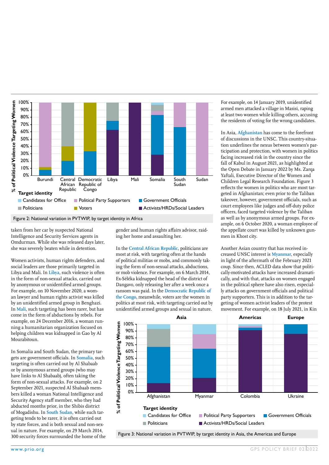

Figure 2: National variation in PVTWIP, by target identity in Africa

taken from her car by suspected National Intelligence and Security Services agents in Omdurman. While she was released days later, she was severely beaten while in detention.

Women activists, human rights defenders, and social leaders are those primarily targeted in Libya and Mali. In **Libya**, such violence is often in the form of non-sexual attacks, carried out by anonymous or unidentified armed groups. For example, on 10 November 2020, a woman lawyer and human rights activist was killed by an unidentified armed group in Benghazi. In **Mali**, such targeting has been rarer, but has come in the form of abductions by rebels. For example, on 24 December 2016, a woman running a humanitarian organization focused on helping children was kidnapped in Gao by Al Mourabitoun.

In Somalia and South Sudan, the primary targets are government officials. In **Somalia**, such targeting is often carried out by Al Shabaab or by anonymous armed groups (who may have links to Al Shabaab), often taking the form of non-sexual attacks. For example, on 2 September 2021, suspected Al Shabaab members killed a woman National Intelligence and Security Agency staff member, who they had abducted months prior, in the Shibis district of Mogadishu. In **South Sudan**, while such targeting tends to be rarer, it is often carried out by state forces, and is both sexual and non-sexual in nature. For example, on 29 March 2014, 300 security forces surrounded the home of the gender and human rights affairs advisor, raiding her home and assaulting her.

In the **Central African Republic**, politicians are most at risk, with targeting often at the hands of political militias or mobs, and commonly taking the form of non-sexual attacks, abductions, or mob violence. For example, on 6 March 2014, Ex-Séléka kidnapped the head of the district of Dangavo, only releasing her after a week once a ransom was paid. In the **Democratic Republic of the Congo**, meanwhile, voters are the women in politics at most risk, with targeting carried out by unidentified armed groups and sexual in nature.

For example, on 14 January 2019, unidentified armed men attacked a village in Masisi, raping at least two women while killing others, accusing the residents of voting for the wrong candidates.

In Asia, **Afghanistan** has come to the forefront of discussions in the UNSC. This country-situation underlines the nexus between women's participation and protection, with women in politics facing increased risk in the country since the fall of Kabul in August 2021, as highlighted at the Open Debate in January 2022 by Ms. Zarqa Yaftali, Executive Director of the Women and Children Legal Research Foundation. Figure 3 reflects the women in politics who are most targeted in Afghanistan; even prior to the Taliban takeover, however, government officials, such as court employees like judges and off-duty police officers, faced targeted violence by the Taliban as well as by anonymous armed groups. For example, on 6 October 2020, a woman employee of the appellate court was killed by unknown gunmen in Khost city.

Another Asian country that has received increased UNSC interest is **Myanmar**, especially in light of the aftermath of the February 2021 coup. Since then, ACLED data show that politically-motivated attacks have increased dramatically, and with that, attacks on women engaged in the political sphere have also risen, especially attacks on government officials and political party supporters. This is in addition to the targeting of women activist leaders of the protest movement. For example, on 18 July 2021, in Kin



Figure 3: National variation in PVTWIP, by target identity in Asia, the Americas and Europe